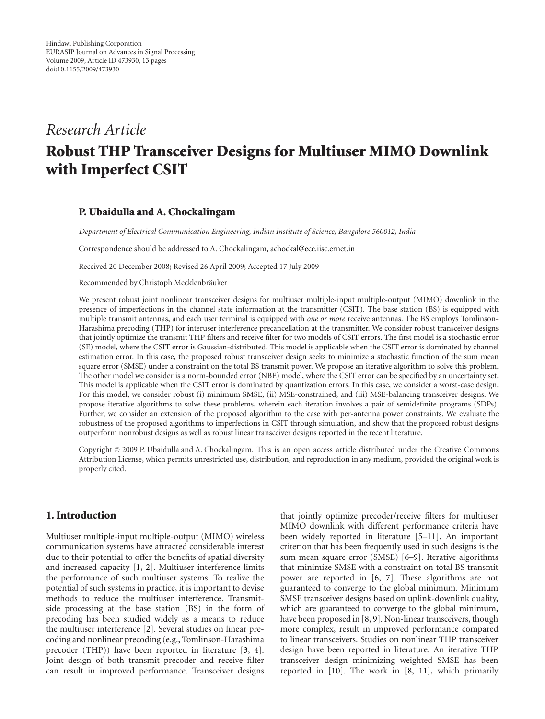# *Research Article*

# **Robust THP Transceiver Designs for Multiuser MIMO Downlink with Imperfect CSIT**

### **P. Ubaidulla and A. Chockalingam**

*Department of Electrical Communication Engineering, Indian Institute of Science, Bangalore 560012, India*

Correspondence should be addressed to A. Chockalingam, achockal@ece.iisc.ernet.in

Received 20 December 2008; Revised 26 April 2009; Accepted 17 July 2009

Recommended by Christoph Mecklenbräuker

We present robust joint nonlinear transceiver designs for multiuser multiple-input multiple-output (MIMO) downlink in the presence of imperfections in the channel state information at the transmitter (CSIT). The base station (BS) is equipped with multiple transmit antennas, and each user terminal is equipped with *one or more* receive antennas. The BS employs Tomlinson-Harashima precoding (THP) for interuser interference precancellation at the transmitter. We consider robust transceiver designs that jointly optimize the transmit THP filters and receive filter for two models of CSIT errors. The first model is a stochastic error (SE) model, where the CSIT error is Gaussian-distributed. This model is applicable when the CSIT error is dominated by channel estimation error. In this case, the proposed robust transceiver design seeks to minimize a stochastic function of the sum mean square error (SMSE) under a constraint on the total BS transmit power. We propose an iterative algorithm to solve this problem. The other model we consider is a norm-bounded error (NBE) model, where the CSIT error can be specified by an uncertainty set. This model is applicable when the CSIT error is dominated by quantization errors. In this case, we consider a worst-case design. For this model, we consider robust (i) minimum SMSE, (ii) MSE-constrained, and (iii) MSE-balancing transceiver designs. We propose iterative algorithms to solve these problems, wherein each iteration involves a pair of semidefinite programs (SDPs). Further, we consider an extension of the proposed algorithm to the case with per-antenna power constraints. We evaluate the robustness of the proposed algorithms to imperfections in CSIT through simulation, and show that the proposed robust designs outperform nonrobust designs as well as robust linear transceiver designs reported in the recent literature.

Copyright © 2009 P. Ubaidulla and A. Chockalingam. This is an open access article distributed under the Creative Commons Attribution License, which permits unrestricted use, distribution, and reproduction in any medium, provided the original work is properly cited.

#### **1. Introduction**

Multiuser multiple-input multiple-output (MIMO) wireless communication systems have attracted considerable interest due to their potential to offer the benefits of spatial diversity and increased capacity [1, 2]. Multiuser interference limits the performance of such multiuser systems. To realize the potential of such systems in practice, it is important to devise methods to reduce the multiuser interference. Transmitside processing at the base station (BS) in the form of precoding has been studied widely as a means to reduce the multiuser interference [2]. Several studies on linear precoding and nonlinear precoding (e.g., Tomlinson-Harashima precoder (THP)) have been reported in literature [3, 4]. Joint design of both transmit precoder and receive filter can result in improved performance. Transceiver designs

that jointly optimize precoder/receive filters for multiuser MIMO downlink with different performance criteria have been widely reported in literature [5–11]. An important criterion that has been frequently used in such designs is the sum mean square error (SMSE) [6–9]. Iterative algorithms that minimize SMSE with a constraint on total BS transmit power are reported in [6, 7]. These algorithms are not guaranteed to converge to the global minimum. Minimum SMSE transceiver designs based on uplink-downlink duality, which are guaranteed to converge to the global minimum, have been proposed in [8, 9]. Non-linear transceivers, though more complex, result in improved performance compared to linear transceivers. Studies on nonlinear THP transceiver design have been reported in literature. An iterative THP transceiver design minimizing weighted SMSE has been reported in [10]. The work in [8, 11], which primarily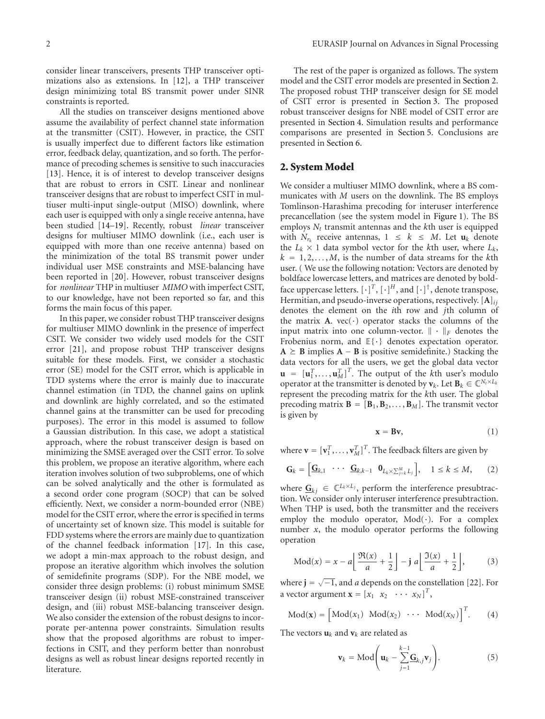consider linear transceivers, presents THP transceiver optimizations also as extensions. In [12], a THP transceiver design minimizing total BS transmit power under SINR constraints is reported.

All the studies on transceiver designs mentioned above assume the availability of perfect channel state information at the transmitter (CSIT). However, in practice, the CSIT is usually imperfect due to different factors like estimation error, feedback delay, quantization, and so forth. The performance of precoding schemes is sensitive to such inaccuracies [13]. Hence, it is of interest to develop transceiver designs that are robust to errors in CSIT. Linear and nonlinear transceiver designs that are robust to imperfect CSIT in multiuser multi-input single-output (MISO) downlink, where each user is equipped with only a single receive antenna, have been studied [14–19]. Recently, robust *linear* transceiver designs for multiuser MIMO downlink (i.e., each user is equipped with more than one receive antenna) based on the minimization of the total BS transmit power under individual user MSE constraints and MSE-balancing have been reported in [20]. However, robust transceiver designs for *nonlinear* THP in multiuser *MIMO* with imperfect CSIT, to our knowledge, have not been reported so far, and this forms the main focus of this paper.

In this paper, we consider robust THP transceiver designs for multiuser MIMO downlink in the presence of imperfect CSIT. We consider two widely used models for the CSIT error [21], and propose robust THP transceiver designs suitable for these models. First, we consider a stochastic error (SE) model for the CSIT error, which is applicable in TDD systems where the error is mainly due to inaccurate channel estimation (in TDD, the channel gains on uplink and downlink are highly correlated, and so the estimated channel gains at the transmitter can be used for precoding purposes). The error in this model is assumed to follow a Gaussian distribution. In this case, we adopt a statistical approach, where the robust transceiver design is based on minimizing the SMSE averaged over the CSIT error. To solve this problem, we propose an iterative algorithm, where each iteration involves solution of two subproblems, one of which can be solved analytically and the other is formulated as a second order cone program (SOCP) that can be solved efficiently. Next, we consider a norm-bounded error (NBE) model for the CSIT error, where the error is specified in terms of uncertainty set of known size. This model is suitable for FDD systems where the errors are mainly due to quantization of the channel feedback information [17]. In this case, we adopt a min-max approach to the robust design, and propose an iterative algorithm which involves the solution of semidefinite programs (SDP). For the NBE model, we consider three design problems: (i) robust minimum SMSE transceiver design (ii) robust MSE-constrained transceiver design, and (iii) robust MSE-balancing transceiver design. We also consider the extension of the robust designs to incorporate per-antenna power constraints. Simulation results show that the proposed algorithms are robust to imperfections in CSIT, and they perform better than nonrobust designs as well as robust linear designs reported recently in literature.

The rest of the paper is organized as follows. The system model and the CSIT error models are presented in Section 2. The proposed robust THP transceiver design for SE model of CSIT error is presented in Section 3. The proposed robust transceiver designs for NBE model of CSIT error are presented in Section 4. Simulation results and performance comparisons are presented in Section 5. Conclusions are presented in Section 6.

#### **2. System Model**

We consider a multiuser MIMO downlink, where a BS communicates with *M* users on the downlink. The BS employs Tomlinson-Harashima precoding for interuser interference precancellation (see the system model in Figure 1). The BS employs  $N_t$  transmit antennas and the  $k$ th user is equipped with  $N_{r_k}$  receive antennas,  $1 \leq k \leq M$ . Let  $\mathbf{u}_k$  denote the  $L_k \times 1$  data symbol vector for the *k*th user, where  $L_k$ ,  $k = 1, 2, \ldots, M$ , is the number of data streams for the *k*th user. ( We use the following notation: Vectors are denoted by boldface lowercase letters, and matrices are denoted by boldface uppercase letters.  $[\cdot]^T$ ,  $[\cdot]^H$ , and  $[\cdot]^{\dagger}$ , denote transpose, Hermitian, and pseudo-inverse operations, respectively. [**A**]*ij* denotes the element on the *i*th row and *j*th column of the matrix **A**. vec( $\cdot$ ) operator stacks the columns of the input matrix into one column-vector.  $\|\cdot\|_F$  denotes the Frobenius norm, and  $E\{\cdot\}$  denotes expectation operator.  $A \geq B$  implies  $A - B$  is positive semidefinite.) Stacking the data vectors for all the users, we get the global data vector  $\mathbf{u} = [\mathbf{u}_1^T, \dots, \mathbf{u}_M^T]^T$ . The output of the *k*th user's modulo operator at the transmitter is denoted by  $\mathbf{v}_k$ . Let  $\mathbf{B}_k \in \mathbb{C}^{N_t \times L_k}$ represent the precoding matrix for the *k*th user. The global precoding matrix  $\mathbf{B} = [\mathbf{B}_1, \mathbf{B}_2, \dots, \mathbf{B}_M]$ . The transmit vector is given by

$$
\mathbf{x} = \mathbf{B}\mathbf{v},\tag{1}
$$

where  $\mathbf{v} = [\mathbf{v}_1^T, \dots, \mathbf{v}_M^T]^T$ . The feedback filters are given by

$$
\mathbf{G}_k = \begin{bmatrix} \mathbf{G}_{k,1} & \cdots & \mathbf{G}_{k,k-1} & \mathbf{0}_{L_k \times \sum_{j=k}^M L_j} \end{bmatrix}, \quad 1 \leq k \leq M, \qquad (2)
$$

where  $\underline{G}_{ki} \in \mathbb{C}^{L_k \times L_j}$ , perform the interference presubtraction. We consider only interuser interference presubtraction. When THP is used, both the transmitter and the receivers employ the modulo operator,  $Mod(\cdot)$ . For a complex number *x*, the modulo operator performs the following operation

$$
Mod(x) = x - a \left\lfloor \frac{\Re(x)}{a} + \frac{1}{2} \right\rfloor - j a \left\lfloor \frac{\Im(x)}{a} + \frac{1}{2} \right\rfloor,
$$
 (3)

where  $\mathbf{j} = \sqrt{-1}$ , and *a* depends on the constellation [22]. For a vector argument  $\mathbf{x} = \begin{bmatrix} x_1 & x_2 & \cdots & x_N \end{bmatrix}^T$ ,

$$
Mod(\mathbf{x}) = [Mod(x_1) Mod(x_2) \cdots Mod(x_N)]^T.
$$
 (4)

The vectors  $\mathbf{u}_k$  and  $\mathbf{v}_k$  are related as

$$
\mathbf{v}_k = \text{Mod}\left(\mathbf{u}_k - \sum_{j=1}^{k-1} \mathbf{G}_{k,j} \mathbf{v}_j\right). \tag{5}
$$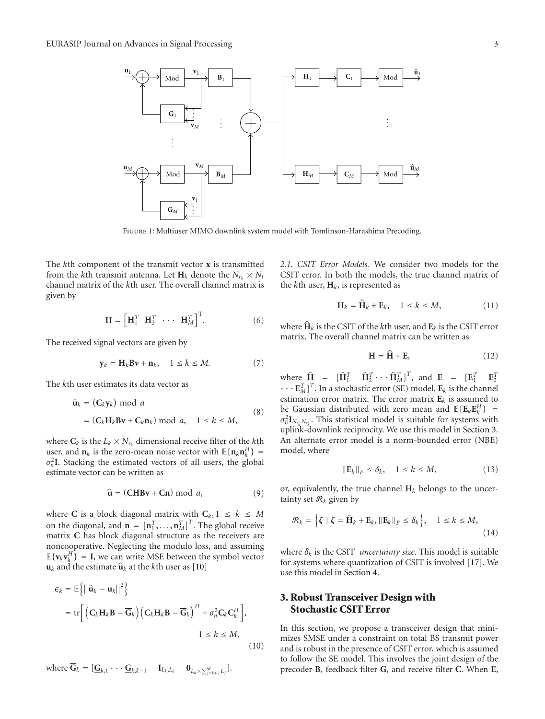

Figure 1: Multiuser MIMO downlink system model with Tomlinson-Harashima Precoding.

The *k*th component of the transmit vector **x** is transmitted from the *k*th transmit antenna. Let  $H_k$  denote the  $N_{r_k} \times N_t$ channel matrix of the *k*th user. The overall channel matrix is given by

$$
\mathbf{H} = \left[\mathbf{H}_1^T \quad \mathbf{H}_2^T \quad \cdots \quad \mathbf{H}_M^T\right]^T. \tag{6}
$$

The received signal vectors are given by

$$
\mathbf{y}_k = \mathbf{H}_k \mathbf{B} \mathbf{v} + \mathbf{n}_k, \quad 1 \le k \le M. \tag{7}
$$

The *k*th user estimates its data vector as

$$
\hat{\mathbf{u}}_k = (\mathbf{C}_k \mathbf{y}_k) \text{ mod } a
$$
  
= (\mathbf{C}\_k \mathbf{H}\_k \mathbf{B} \mathbf{v} + \mathbf{C}\_k \mathbf{n}\_k) \text{ mod } a, 1 \le k \le M, (8)

where  $C_k$  is the  $L_k \times N_{r_k}$  dimensional receive filter of the *k*th user, and  $\mathbf{n}_k$  is the zero-mean noise vector with  $\mathbb{E}\{\mathbf{n}_k \mathbf{n}_k^H\}$  =  $\sigma_n^2$ **I**. Stacking the estimated vectors of all users, the global estimate vector can be written as

$$
\hat{\mathbf{u}} = (\mathbf{CHBv} + \mathbf{Cn}) \bmod a,\tag{9}
$$

where **C** is a block diagonal matrix with  $C_k$ ,  $1 \leq k \leq M$ on the diagonal, and  $\mathbf{n} = [\mathbf{n}_1^T, \dots, \mathbf{n}_M^T]^T$ . The global receive matrix **C** has block diagonal structure as the receivers are noncooperative. Neglecting the modulo loss, and assuming  $E\{v_k v_k^H\} = I$ , we can write MSE between the symbol vector  $\mathbf{u}_k$  and the estimate  $\hat{\mathbf{u}}_k$  at the *k*th user as [10]

$$
\epsilon_k = \mathbb{E}\left\{ ||\hat{\mathbf{u}}_k - \mathbf{u}_k||^2 \right\}
$$
  
= tr  $\left[ \left( \mathbf{C}_k \mathbf{H}_k \mathbf{B} - \overline{\mathbf{G}}_k \right) \left( \mathbf{C}_k \mathbf{H}_k \mathbf{B} - \overline{\mathbf{G}}_k \right)^H + \sigma_n^2 \mathbf{C}_k \mathbf{C}_k^H \right],$   
 $1 \le k \le M,$  (10)

where  $\overline{\mathbf{G}}_k = [\underline{\mathbf{G}}_{k,1} \cdots \underline{\mathbf{G}}_{k,k-1} \quad \mathbf{I}_{L_k,L_k} \quad \mathbf{0}_{L_k \times \sum_{j=k+1}^{M} L_j}].$ 

*2.1. CSIT Error Models.* We consider two models for the CSIT error. In both the models, the true channel matrix of the *k*th user,  $H_k$ , is represented as

$$
\mathbf{H}_k = \hat{\mathbf{H}}_k + \mathbf{E}_k, \quad 1 \le k \le M,\tag{11}
$$

where  $\hat{H}_k$  is the CSIT of the *k*th user, and  $E_k$  is the CSIT error matrix. The overall channel matrix can be written as

$$
\mathbf{H} = \hat{\mathbf{H}} + \mathbf{E},\tag{12}
$$

where  $\hat{\mathbf{H}} = [\hat{\mathbf{H}}_1^T \quad \hat{\mathbf{H}}_2^T \cdots \hat{\mathbf{H}}_M^T]^T$ , and  $\mathbf{E} = [\mathbf{E}_1^T \quad \mathbf{E}_2^T$  $\cdots$   $\mathbf{E}_{M}^{T}$ ]<sup>T</sup>. In a stochastic error (SE) model,  $\mathbf{E}_{k}$  is the channel estimation error matrix. The error matrix  $E_k$  is assumed to be Gaussian distributed with zero mean and  $\mathbb{E}\{\mathbf{E}_k \mathbf{E}_k^H\}$  =  $\sigma_E^2 \mathbf{I}_{N_{r_k} N_{r_k}}$ . This statistical model is suitable for systems with uplink-downlink reciprocity. We use this model in Section 3. An alternate error model is a norm-bounded error (NBE) model, where

$$
\|\mathbf{E}_k\|_F \le \delta_k, \quad 1 \le k \le M,\tag{13}
$$

or, equivalently, the true channel  $H_k$  belongs to the uncertainty set  $\mathcal{R}_k$  given by

$$
\mathcal{R}_k = \left\{ \zeta \mid \zeta = \hat{\mathbf{H}}_k + \mathbf{E}_k, \|\mathbf{E}_k\|_F \le \delta_k \right\}, \quad 1 \le k \le M,
$$
\n(14)

where  $\delta_k$  is the CSIT *uncertainty size*. This model is suitable for systems where quantization of CSIT is involved [17]. We use this model in Section 4.

## **3. Robust Transceiver Design with Stochastic CSIT Error**

In this section, we propose a transceiver design that minimizes SMSE under a constraint on total BS transmit power and is robust in the presence of CSIT error, which is assumed to follow the SE model. This involves the joint design of the precoder **B**, feedback filter **G**, and receive filter **C**. When **E**,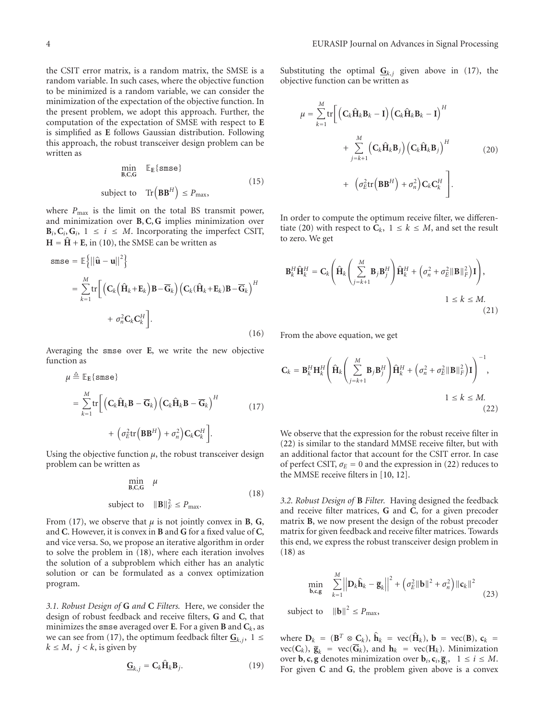the CSIT error matrix, is a random matrix, the SMSE is a random variable. In such cases, where the objective function to be minimized is a random variable, we can consider the minimization of the expectation of the objective function. In the present problem, we adopt this approach. Further, the computation of the expectation of SMSE with respect to **E** is simplified as **E** follows Gaussian distribution. Following this approach, the robust transceiver design problem can be written as

$$
\min_{\mathbf{B}, \mathbf{C}, \mathbf{G}} \quad \mathbb{E}_{\mathbf{E}} \{ \mathbf{smse} \}
$$
\n
$$
\text{subject to} \quad \text{Tr} \left( \mathbf{B} \mathbf{B}^H \right) \le P_{\text{max}}, \tag{15}
$$

where  $P_{\text{max}}$  is the limit on the total BS transmit power, and minimization over **B**,**C**, **G** implies minimization over  $\mathbf{B}_i, \mathbf{C}_i, \mathbf{G}_i, 1 \leq i \leq M$ . Incorporating the imperfect CSIT,  $H = \hat{H} + E$ , in (10), the SMSE can be written as

smse = 
$$
\mathbb{E}\left\{||\hat{\mathbf{u}} - \mathbf{u}||^2\right\}
$$
  
\n
$$
= \sum_{k=1}^{M} tr\left[\left(C_k\left(\hat{\mathbf{H}}_k + \mathbf{E}_k\right)\mathbf{B} - \overline{\mathbf{G}}_k\right)\left(C_k\left(\hat{\mathbf{H}}_k + \mathbf{E}_k\right)\mathbf{B} - \overline{\mathbf{G}}_k\right)^H + \sigma_n^2 C_k C_k^H\right].
$$
\n(16)

Averaging the smse over **E**, we write the new objective function as

$$
\mu \triangleq \mathbb{E}_{\mathbf{E}} \{ \text{smse} \}
$$
  
= 
$$
\sum_{k=1}^{M} tr \bigg[ \Big( \mathbf{C}_{k} \hat{\mathbf{H}}_{k} \mathbf{B} - \overline{\mathbf{G}}_{k} \Big) \Big( \mathbf{C}_{k} \hat{\mathbf{H}}_{k} \mathbf{B} - \overline{\mathbf{G}}_{k} \Big)^{H}
$$
  
+ 
$$
\Big( \sigma_{E}^{2} tr \Big( \mathbf{B} \mathbf{B}^{H} \Big) + \sigma_{n}^{2} \Big) \mathbf{C}_{k} \mathbf{C}_{k}^{H} \bigg].
$$
 (17)

Using the objective function  $\mu$ , the robust transceiver design problem can be written as

$$
\min_{\mathbf{B},\mathbf{C},\mathbf{G}} \mu
$$
\nsubject to 
$$
\|\mathbf{B}\|_{F}^{2} \le P_{\text{max}}.
$$
\n(18)

From (17), we observe that  $\mu$  is not jointly convex in **B**, **G**, and **C**. However, it is convex in **B** and **G** for a fixed value of **C**, and vice versa. So, we propose an iterative algorithm in order to solve the problem in (18), where each iteration involves the solution of a subproblem which either has an analytic solution or can be formulated as a convex optimization program.

*3.1. Robust Design of* **G** *and* **C** *Filters.* Here, we consider the design of robust feedback and receive filters, **G** and **C**, that minimizes the smse averaged over **E**. For a given **B** and **C***k*, as we can see from (17), the optimum feedback filter  $\mathbf{G}_{k,i}$ , 1 ≤  $k \leq M$ ,  $j < k$ , is given by

$$
\mathbf{G}_{k,j} = \mathbf{C}_k \hat{\mathbf{H}}_k \mathbf{B}_j. \tag{19}
$$

Substituting the optimal  $G_{k,j}$  given above in (17), the objective function can be written as

$$
\mu = \sum_{k=1}^{M} tr \bigg[ \Big( \mathbf{C}_{k} \hat{\mathbf{H}}_{k} \mathbf{B}_{k} - \mathbf{I} \Big) \Big( \mathbf{C}_{k} \hat{\mathbf{H}}_{k} \mathbf{B}_{k} - \mathbf{I} \Big)^{H} + \sum_{j=k+1}^{M} \Big( \mathbf{C}_{k} \hat{\mathbf{H}}_{k} \mathbf{B}_{j} \Big) \Big( \mathbf{C}_{k} \hat{\mathbf{H}}_{k} \mathbf{B}_{j} \Big)^{H} + \Big( \sigma_{E}^{2} tr \Big( \mathbf{B} \mathbf{B}^{H} \Big) + \sigma_{n}^{2} \Big) \mathbf{C}_{k} \mathbf{C}_{k}^{H} \bigg]. \tag{20}
$$

In order to compute the optimum receive filter, we differentiate (20) with respect to  $C_k$ ,  $1 \leq k \leq M$ , and set the result to zero. We get

$$
\mathbf{B}_k^H \hat{\mathbf{H}}_k^H = \mathbf{C}_k \left( \hat{\mathbf{H}}_k \left( \sum_{j=k+1}^M \mathbf{B}_j \mathbf{B}_j^H \right) \hat{\mathbf{H}}_k^H + \left( \sigma_n^2 + \sigma_E^2 \|\mathbf{B}\|_F^2 \right) \mathbf{I} \right),
$$
  
  $1 \le k \le M.$  (21)

From the above equation, we get

$$
\mathbf{C}_{k} = \mathbf{B}_{k}^{H} \mathbf{H}_{k}^{H} \left( \hat{\mathbf{H}}_{k} \left( \sum_{j=k+1}^{M} \mathbf{B}_{j} \mathbf{B}_{j}^{H} \right) \hat{\mathbf{H}}_{k}^{H} + \left( \sigma_{n}^{2} + \sigma_{E}^{2} \|\mathbf{B}\|_{F}^{2} \right) \mathbf{I} \right)^{-1},
$$
  
  $1 \leq k \leq M.$  (22)

We observe that the expression for the robust receive filter in (22) is similar to the standard MMSE receive filter, but with an additional factor that account for the CSIT error. In case of perfect CSIT,  $\sigma_E = 0$  and the expression in (22) reduces to the MMSE receive filters in [10, 12].

*3.2. Robust Design of* **B** *Filter.* Having designed the feedback and receive filter matrices, **G** and **C**, for a given precoder matrix **B**, we now present the design of the robust precoder matrix for given feedback and receive filter matrices. Towards this end, we express the robust transceiver design problem in (18) as

$$
\min_{\mathbf{b}, \mathbf{c}, \mathbf{g}} \quad \sum_{k=1}^{M} \left\| \mathbf{D}_k \hat{\mathbf{h}}_k - \overline{\mathbf{g}}_k \right\|^2 + \left( \sigma_E^2 \|\mathbf{b}\|^2 + \sigma_n^2 \right) \|\mathbf{c}_k\|^2
$$
\nsubject to

\n
$$
\|\mathbf{b}\|^2 \le P_{\text{max}},
$$
\n(23)

where  $D_k = (B^T \otimes C_k)$ ,  $\hat{h}_k = \text{vec}(\hat{H}_k)$ ,  $\mathbf{b} = \text{vec}(B)$ ,  $\mathbf{c}_k =$  $\text{vec}(\mathbf{C}_k)$ ,  $\overline{\mathbf{g}}_k = \text{vec}(\overline{\mathbf{G}}_k)$ , and  $\mathbf{h}_k = \text{vec}(\mathbf{H}_k)$ . Minimization over **b**, **c**, **g** denotes minimization over **b**<sub>*i*</sub>, **c**<sub>*i*</sub>, **g**<sub>*i*</sub>, 1 ≤ *i* ≤ *M*. For given **C** and **G**, the problem given above is a convex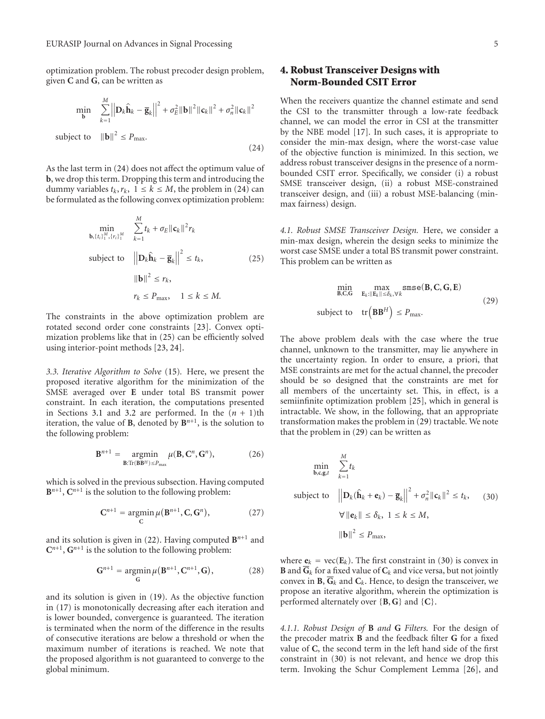optimization problem. The robust precoder design problem, given **C** and **G**, can be written as

$$
\min_{\mathbf{b}} \sum_{k=1}^{M} \left\| \mathbf{D}_k \hat{\mathbf{h}}_k - \overline{\mathbf{g}}_k \right\|^2 + \sigma_E^2 \|\mathbf{b}\|^2 \|\mathbf{c}_k\|^2 + \sigma_n^2 \|\mathbf{c}_k\|^2
$$
\nsubject to 
$$
\|\mathbf{b}\|^2 \le P_{\text{max}}.
$$
\n(24)

As the last term in (24) does not affect the optimum value of **b**, we drop this term. Dropping this term and introducing the dummy variables  $t_k$ ,  $r_k$ ,  $1 \le k \le M$ , the problem in (24) can be formulated as the following convex optimization problem:

$$
\min_{\mathbf{b}, \{t_i\}_{1}^{M}, \{r_i\}_{1}^{M}} \quad \sum_{k=1}^{M} t_k + \sigma_E ||c_k||^2 r_k
$$
\n
$$
\text{subject to} \quad \left\| \mathbf{D}_k \hat{\mathbf{h}}_k - \overline{\mathbf{g}}_k \right\|^2 \le t_k, \tag{25}
$$
\n
$$
||\mathbf{b}||^2 \le r_k, \quad r_k \le P_{\text{max}}, \quad 1 \le k \le M.
$$

The constraints in the above optimization problem are rotated second order cone constraints [23]. Convex optimization problems like that in (25) can be efficiently solved using interior-point methods [23, 24].

*3.3. Iterative Algorithm to Solve* (15)*.* Here, we present the proposed iterative algorithm for the minimization of the SMSE averaged over **E** under total BS transmit power constraint. In each iteration, the computations presented in Sections 3.1 and 3.2 are performed. In the  $(n + 1)$ th iteration, the value of **B**, denoted by  $B^{n+1}$ , is the solution to the following problem:

$$
\mathbf{B}^{n+1} = \underset{\mathbf{B}: \text{Tr}(\mathbf{B}\mathbf{B}^H) \le P_{\text{max}}}{\text{argmin}} \mu(\mathbf{B}, \mathbf{C}^n, \mathbf{G}^n), \tag{26}
$$

which is solved in the previous subsection. Having computed  $B^{n+1}$ ,  $C^{n+1}$  is the solution to the following problem:

$$
\mathbf{C}^{n+1} = \underset{\mathbf{C}}{\operatorname{argmin}} \mu(\mathbf{B}^{n+1}, \mathbf{C}, \mathbf{G}^n),\tag{27}
$$

and its solution is given in (22). Having computed  $\mathbf{B}^{n+1}$  and  $C^{n+1}$ ,  $G^{n+1}$  is the solution to the following problem:

$$
\mathbf{G}^{n+1} = \underset{\mathbf{G}}{\operatorname{argmin}} \mu(\mathbf{B}^{n+1}, \mathbf{C}^{n+1}, \mathbf{G}), \tag{28}
$$

and its solution is given in (19). As the objective function in (17) is monotonically decreasing after each iteration and is lower bounded, convergence is guaranteed. The iteration is terminated when the norm of the difference in the results of consecutive iterations are below a threshold or when the maximum number of iterations is reached. We note that the proposed algorithm is not guaranteed to converge to the global minimum.

#### **4. Robust Transceiver Designs with Norm-Bounded CSIT Error**

When the receivers quantize the channel estimate and send the CSI to the transmitter through a low-rate feedback channel, we can model the error in CSI at the transmitter by the NBE model [17]. In such cases, it is appropriate to consider the min-max design, where the worst-case value of the objective function is minimized. In this section, we address robust transceiver designs in the presence of a normbounded CSIT error. Specifically, we consider (i) a robust SMSE transceiver design, (ii) a robust MSE-constrained transceiver design, and (iii) a robust MSE-balancing (minmax fairness) design.

*4.1. Robust SMSE Transceiver Design.* Here, we consider a min-max design, wherein the design seeks to minimize the worst case SMSE under a total BS transmit power constraint. This problem can be written as

$$
\min_{\mathbf{B}, \mathbf{C}, \mathbf{G}} \max_{\mathbf{E}_k : ||\mathbf{E}_k|| \le \delta_k, \forall k} \text{smse}(\mathbf{B}, \mathbf{C}, \mathbf{G}, \mathbf{E})
$$
\n
$$
\text{subject to } \text{tr}\left(\mathbf{B}\mathbf{B}^H\right) \le P_{\text{max}}.\tag{29}
$$

The above problem deals with the case where the true channel, unknown to the transmitter, may lie anywhere in the uncertainty region. In order to ensure, a priori, that MSE constraints are met for the actual channel, the precoder should be so designed that the constraints are met for all members of the uncertainty set. This, in effect, is a semiinfinite optimization problem [25], which in general is intractable. We show, in the following, that an appropriate transformation makes the problem in (29) tractable. We note that the problem in (29) can be written as

$$
\min_{\mathbf{b}, \mathbf{c}, \mathbf{g}, t} \sum_{k=1}^{M} t_k
$$
\nsubject to\n
$$
\left\| \mathbf{D}_k(\hat{\mathbf{h}}_k + \mathbf{e}_k) - \overline{\mathbf{g}}_k \right\|^2 + \sigma_n^2 \|\mathbf{c}_k\|^2 \le t_k,\qquad(30)
$$
\n
$$
\forall \|\mathbf{e}_k\| \le \delta_k, \ 1 \le k \le M,
$$
\n
$$
\|\mathbf{b}\|^2 \le P_{\text{max}},
$$

where  $e_k$  = vec( $E_k$ ). The first constraint in (30) is convex in **B** and  $\overline{G}_k$  for a fixed value of  $C_k$  and vice versa, but not jointly convex in **B**,  $\overline{G}_k$  and  $C_k$ . Hence, to design the transceiver, we propose an iterative algorithm, wherein the optimization is performed alternately over {**B**, **G**} and {**C**}.

*4.1.1. Robust Design of* **B** *and* **G** *Filters.* For the design of the precoder matrix **B** and the feedback filter **G** for a fixed value of **C**, the second term in the left hand side of the first constraint in (30) is not relevant, and hence we drop this term. Invoking the Schur Complement Lemma [26], and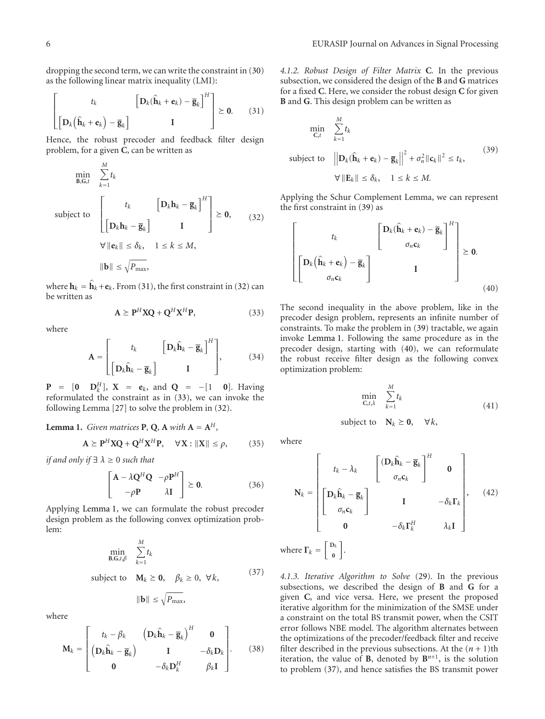dropping the second term, we can write the constraint in (30) as the following linear matrix inequality (LMI):

$$
\left[\begin{array}{cc} t_k & \left[\mathbf{D}_k(\hat{\mathbf{h}}_k + \mathbf{e}_k) - \overline{\mathbf{g}}_k\right]^H \\ \left[\mathbf{D}_k(\hat{\mathbf{h}}_k + \mathbf{e}_k) - \overline{\mathbf{g}}_k\right] & \mathbf{I} \end{array}\right] \succeq \mathbf{0}.
$$
 (31)

Hence, the robust precoder and feedback filter design problem, for a given **C**, can be written as

$$
\min_{\mathbf{B},\mathbf{G},t} \sum_{k=1}^{M} t_k
$$
\n
$$
\text{subject to} \quad \begin{bmatrix} t_k & \left[ \mathbf{D}_k \mathbf{h}_k - \overline{\mathbf{g}}_k \right]^H \\ \left[ \mathbf{D}_k \mathbf{h}_k - \overline{\mathbf{g}}_k \right] & \mathbf{I} \\ \nabla \|\mathbf{e}_k\| \le \delta_k, & 1 \le k \le M, \end{bmatrix} \succeq \mathbf{0}, \qquad (32)
$$
\n
$$
\|\mathbf{b}\| \le \sqrt{P_{\text{max}}},
$$

where  $h_k = \hat{h}_k + \mathbf{e}_k$ . From (31), the first constraint in (32) can be written as

$$
\mathbf{A} \succeq \mathbf{P}^H \mathbf{X} \mathbf{Q} + \mathbf{Q}^H \mathbf{X}^H \mathbf{P},\tag{33}
$$

where

$$
\mathbf{A} = \begin{bmatrix} t_k & \left[ \mathbf{D}_k \hat{\mathbf{h}}_k - \overline{\mathbf{g}}_k \right]^H \\ \left[ \mathbf{D}_k \hat{\mathbf{h}}_k - \overline{\mathbf{g}}_k \right] & \mathbf{I} \end{bmatrix}, \quad (34)
$$

**P** =  $[0 \t D_k^H]$ , **X** = **e**<sub>k</sub>, and **Q** = −[1 **0**]*.* Having reformulated the constraint as in (33), we can invoke the following Lemma [27] to solve the problem in (32).

**Lemma 1.** *Given matrices* **P**, **Q**, **A** *with*  $A = A^H$ *,* 

$$
\mathbf{A} \succeq \mathbf{P}^H \mathbf{X} \mathbf{Q} + \mathbf{Q}^H \mathbf{X}^H \mathbf{P}, \quad \forall \mathbf{X} : \|\mathbf{X}\| \le \rho, \tag{35}
$$

*if and only if*  $\exists \lambda \geq 0$  *such that* 

$$
\begin{bmatrix} A - \lambda Q^H Q & -\rho P^H \\ -\rho P & \lambda I \end{bmatrix} \succeq 0.
$$
 (36)

Applying Lemma 1, we can formulate the robust precoder design problem as the following convex optimization problem:

$$
\min_{\mathbf{B},\mathbf{G},t,\beta} \sum_{k=1}^{M} t_k
$$
\n
$$
\text{subject to} \quad \mathbf{M}_k \succeq \mathbf{0}, \quad \beta_k \ge 0, \ \forall k,
$$
\n
$$
(37)
$$

$$
\|\mathbf{b}\| \leq \sqrt{P_{\max}},
$$

where

$$
\mathbf{M}_{k} = \begin{bmatrix} t_{k} - \beta_{k} & \left( \mathbf{D}_{k} \hat{\mathbf{h}}_{k} - \overline{\mathbf{g}}_{k} \right)^{H} & \mathbf{0} \\ \left( \mathbf{D}_{k} \hat{\mathbf{h}}_{k} - \overline{\mathbf{g}}_{k} \right) & \mathbf{I} & -\delta_{k} \mathbf{D}_{k} \\ \mathbf{0} & -\delta_{k} \mathbf{D}_{k}^{H} & \beta_{k} \mathbf{I} \end{bmatrix} . \tag{38}
$$

*4.1.2. Robust Design of Filter Matrix* **C***.* In the previous subsection, we considered the design of the **B** and **G** matrices for a fixed **C**. Here, we consider the robust design **C** for given **B** and **G**. This design problem can be written as

$$
\min_{\mathbf{C},t} \quad \sum_{k=1}^{M} t_k
$$
\nsubject to 
$$
\left\| \mathbf{D}_k(\hat{\mathbf{h}}_k + \mathbf{e}_k) - \overline{\mathbf{g}}_k \right\|^2 + \sigma_n^2 \|\mathbf{c}_k\|^2 \le t_k,
$$
\n
$$
\forall \|\mathbf{E}_k\| \le \delta_k, \quad 1 \le k \le M.
$$
\n(39)

Applying the Schur Complement Lemma, we can represent the first constraint in (39) as

$$
\left[\begin{matrix} t_k & \left[\begin{matrix} \mathbf{D}_k(\hat{\mathbf{h}}_k + \mathbf{e}_k) - \overline{\mathbf{g}}_k \\ \sigma_n \mathbf{c}_k \end{matrix}\right]^H \\ \left[\begin{matrix} \mathbf{D}_k(\hat{\mathbf{h}}_k + \mathbf{e}_k) - \overline{\mathbf{g}}_k \\ \sigma_n \mathbf{c}_k \end{matrix}\right] & \mathbf{I} \end{matrix}\right] \geq 0.
$$
\n(40)

The second inequality in the above problem, like in the precoder design problem, represents an infinite number of constraints. To make the problem in (39) tractable, we again invoke Lemma 1. Following the same procedure as in the precoder design, starting with (40), we can reformulate the robust receive filter design as the following convex optimization problem:

$$
\min_{\mathbf{C},t,\lambda} \quad \sum_{k=1}^{M} t_k \tag{41}
$$

subject to 
$$
\mathbf{N}_k \succeq \mathbf{0}, \quad \forall k,
$$

where

$$
\mathbf{N}_{k} = \begin{bmatrix} t_{k} - \lambda_{k} & \begin{bmatrix} (\mathbf{D}_{k}\hat{\mathbf{h}}_{k} - \overline{\mathbf{g}}_{k} \\ \sigma_{n}\mathbf{c}_{k} \end{bmatrix}^{H} & \mathbf{0} \\ \begin{bmatrix} \mathbf{D}_{k}\hat{\mathbf{h}}_{k} - \overline{\mathbf{g}}_{k} \\ \sigma_{n}\mathbf{c}_{k} \end{bmatrix} & \mathbf{I} & -\delta_{k}\mathbf{\Gamma}_{k} \end{bmatrix}, \quad (42)
$$
\nwhere  $\mathbf{\Gamma}_{k} = \begin{bmatrix} \mathbf{D}_{k} \\ \mathbf{0} \end{bmatrix}.$ 

*4.1.3. Iterative Algorithm to Solve* (29)*.* In the previous subsections, we described the design of **B** and **G** for a given **C**, and vice versa. Here, we present the proposed iterative algorithm for the minimization of the SMSE under a constraint on the total BS transmit power, when the CSIT error follows NBE model. The algorithm alternates between the optimizations of the precoder/feedback filter and receive filter described in the previous subsections. At the  $(n + 1)$ th iteration, the value of **B**, denoted by  $B^{n+1}$ , is the solution to problem (37), and hence satisfies the BS transmit power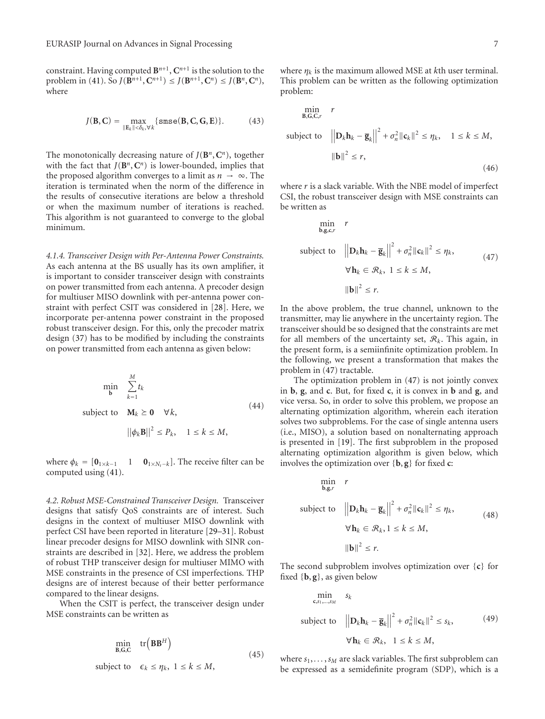constraint. Having computed **B***<sup>n</sup>*+1, **C***n*+1 is the solution to the problem in (41). So  $J(\mathbf{B}^{n+1}, \mathbf{C}^{n+1}) \leq J(\mathbf{B}^{n+1}, \mathbf{C}^n) \leq J(\mathbf{B}^n, \mathbf{C}^n)$ , where

$$
J(\mathbf{B}, \mathbf{C}) = \max_{\|\mathbf{E}_k\| < \delta_k, \forall k} \{ \text{smse}(\mathbf{B}, \mathbf{C}, \mathbf{G}, \mathbf{E}) \}. \tag{43}
$$

The monotonically decreasing nature of  $J(\mathbf{B}^n, \mathbf{C}^n)$ , together with the fact that  $J(\mathbf{B}^n, \mathbf{C}^n)$  is lower-bounded, implies that the proposed algorithm converges to a limit as  $n \to \infty$ . The iteration is terminated when the norm of the difference in the results of consecutive iterations are below a threshold or when the maximum number of iterations is reached. This algorithm is not guaranteed to converge to the global minimum.

*4.1.4. Transceiver Design with Per-Antenna Power Constraints.* As each antenna at the BS usually has its own amplifier, it is important to consider transceiver design with constraints on power transmitted from each antenna. A precoder design for multiuser MISO downlink with per-antenna power constraint with perfect CSIT was considered in [28]. Here, we incorporate per-antenna power constraint in the proposed robust transceiver design. For this, only the precoder matrix design (37) has to be modified by including the constraints on power transmitted from each antenna as given below:

$$
\min_{\mathbf{b}} \quad \sum_{k=1}^{M} t_k
$$
\nsubject to  $\mathbf{M}_k \geq \mathbf{0} \quad \forall k,$   
\n
$$
||\phi_k \mathbf{B}||^2 \leq P_k, \quad 1 \leq k \leq M,
$$
\n(44)

where  $\phi_k = [\mathbf{0}_{1 \times k-1} \quad 1 \quad \mathbf{0}_{1 \times N_t-k}]$ . The receive filter can be computed using (41).

*4.2. Robust MSE-Constrained Transceiver Design.* Transceiver designs that satisfy QoS constraints are of interest. Such designs in the context of multiuser MISO downlink with perfect CSI have been reported in literature [29–31]. Robust linear precoder designs for MISO downlink with SINR constraints are described in [32]. Here, we address the problem of robust THP transceiver design for multiuser MIMO with MSE constraints in the presence of CSI imperfections. THP designs are of interest because of their better performance compared to the linear designs.

When the CSIT is perfect, the transceiver design under MSE constraints can be written as

$$
\min_{\mathbf{B},\mathbf{G},\mathbf{C}} \text{tr}\left(\mathbf{B}\mathbf{B}^{H}\right)
$$
\n
$$
\text{subject to} \quad \epsilon_{k} \leq \eta_{k}, \ 1 \leq k \leq M,\tag{45}
$$

where  $\eta_k$  is the maximum allowed MSE at *k*th user terminal. This problem can be written as the following optimization problem:

$$
\min_{\mathbf{B},\mathbf{G},\mathbf{C},r} \quad r
$$
\n
$$
\text{subject to} \quad \left| |\mathbf{D}_k \mathbf{h}_k - \overline{\mathbf{g}}_k| \right|^2 + \sigma_n^2 ||\mathbf{c}_k||^2 \le \eta_k, \quad 1 \le k \le M,
$$
\n
$$
||\mathbf{b}||^2 \le r,
$$
\n
$$
(46)
$$

where *r* is a slack variable. With the NBE model of imperfect CSI, the robust transceiver design with MSE constraints can be written as

$$
\min_{\mathbf{b}, \mathbf{g}, \mathbf{c}, r} \quad r
$$
\n
$$
\text{subject to} \quad \left\| \mathbf{D}_k \mathbf{h}_k - \overline{\mathbf{g}}_k \right\|^2 + \sigma_n^2 \|\mathbf{c}_k\|^2 \le \eta_k,
$$
\n
$$
\forall \mathbf{h}_k \in \mathcal{R}_k, \ 1 \le k \le M,
$$
\n
$$
\|\mathbf{b}\|^2 \le r.
$$
\n(47)

In the above problem, the true channel, unknown to the transmitter, may lie anywhere in the uncertainty region. The transceiver should be so designed that the constraints are met for all members of the uncertainty set, R*k*. This again, in the present form, is a semiinfinite optimization problem. In the following, we present a transformation that makes the problem in (47) tractable.

The optimization problem in (47) is not jointly convex in **b**, **g**, and **c**. But, for fixed **c**, it is convex in **b** and **g**, and vice versa. So, in order to solve this problem, we propose an alternating optimization algorithm, wherein each iteration solves two subproblems. For the case of single antenna users (i.e., MISO), a solution based on nonalternating approach is presented in [19]. The first subproblem in the proposed alternating optimization algorithm is given below, which involves the optimization over {**b**, **g**} for fixed **c**:

$$
\min_{\mathbf{b}, \mathbf{g}, r} r
$$
\n
$$
\text{subject to} \quad \left\| \mathbf{D}_k \mathbf{h}_k - \overline{\mathbf{g}}_k \right\|^2 + \sigma_n^2 \| \mathbf{c}_k \|^2 \le \eta_k,
$$
\n
$$
\forall \mathbf{h}_k \in \mathcal{R}_k, 1 \le k \le M,
$$
\n
$$
\left\| \mathbf{b} \right\|^2 \le r.
$$
\n(48)

The second subproblem involves optimization over {**c**} for fixed {**b**, **g**}, as given below

$$
\min_{\mathbf{c}, s_1, \dots, s_M} s_k
$$
\n
$$
\text{subject to} \quad \left\| \mathbf{D}_k \mathbf{h}_k - \overline{\mathbf{g}}_k \right\|^2 + \sigma_n^2 \|\mathbf{c}_k\|^2 \le s_k, \tag{49}
$$
\n
$$
\forall \mathbf{h}_k \in \mathcal{R}_k, \quad 1 \le k \le M,
$$

where *s*<sub>1</sub>, ..., *s*<sub>*M*</sub> are slack variables. The first subproblem can be expressed as a semidefinite program (SDP), which is a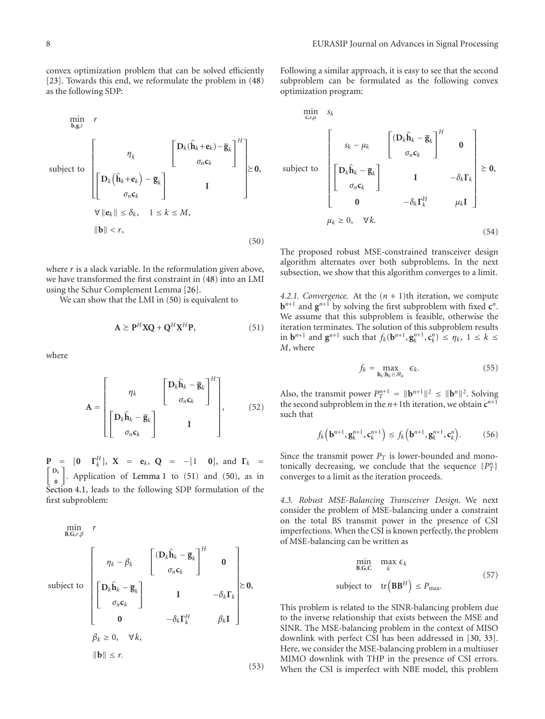convex optimization problem that can be solved efficiently [23]. Towards this end, we reformulate the problem in (48) as the following SDP:

$$
\begin{aligned}\n\min_{\mathbf{b}, \mathbf{g}, r} & r \\
\text{subject to} & \begin{bmatrix} \eta_k & \begin{bmatrix} \mathbf{D}_k(\hat{\mathbf{h}}_k + \mathbf{e}_k) - \overline{\mathbf{g}}_k \end{bmatrix}^H \\ \begin{bmatrix} \mathbf{D}_k(\hat{\mathbf{h}}_k + \mathbf{e}_k) - \overline{\mathbf{g}}_k \\ \sigma_n \mathbf{c}_k \end{bmatrix} & \mathbf{I} \end{aligned}\n\end{aligned}
$$
\n
$$
\forall \|\mathbf{e}_k\| \leq \delta_k, \quad 1 \leq k \leq M,
$$
\n
$$
\|\mathbf{b}\| < r,
$$
\n(50)

where *r* is a slack variable. In the reformulation given above, we have transformed the first constraint in (48) into an LMI using the Schur Complement Lemma [26].

We can show that the LMI in (50) is equivalent to

$$
\mathbf{A} \succeq \mathbf{P}^H \mathbf{X} \mathbf{Q} + \mathbf{Q}^H \mathbf{X}^H \mathbf{P},
$$
 (51)

where

$$
\mathbf{A} = \begin{bmatrix} \eta_k & \begin{bmatrix} \mathbf{D}_k \hat{\mathbf{h}}_k - \overline{\mathbf{g}}_k \\ \sigma_n \mathbf{c}_k \end{bmatrix}^H \\ \begin{bmatrix} \mathbf{D}_k \hat{\mathbf{h}}_k - \overline{\mathbf{g}}_k \\ \sigma_n \mathbf{c}_k \end{bmatrix} & \mathbf{I} \end{bmatrix}, \qquad (52)
$$

**P** =  $[0 \quad \Gamma_k^H]$ , **X** = **e**<sub>*k*</sub>, **Q** = −[1 **0**], and  $\Gamma_k$  =  $\bigcap_{k}$ **0** . Application of Lemma 1 to (51) and (50), as in Section 4.1, leads to the following SDP formulation of the first subproblem:

$$
\begin{aligned}\n\min_{\mathbf{B},\mathbf{G},r,\beta} & r \\
\text{subject to} & \begin{bmatrix}\n\eta_k - \beta_k & \begin{bmatrix}\n(\mathbf{D}_k \hat{\mathbf{h}}_k - \overline{\mathbf{g}}_k\n\end{bmatrix}^H & \mathbf{0} \\
\mathbf{D}_k \hat{\mathbf{h}}_k - \overline{\mathbf{g}}_k\n\end{bmatrix} & \mathbf{I} & -\delta_k \mathbf{\Gamma}_k\n\end{bmatrix} \geq 0, \\
\beta_k \geq 0, \quad \forall k, \\
\beta_k \geq 0, \quad \forall k, \\
\|\mathbf{b}\| \leq r.\n\end{aligned}
$$
\n(53)

Following a similar approach, it is easy to see that the second subproblem can be formulated as the following convex optimization program:

$$
\min_{\mathbf{c}, s, \mu} s_k
$$
\nsubject to\n
$$
\begin{bmatrix}\ns_k - \mu_k & \begin{bmatrix}\n(\mathbf{D}_k \hat{\mathbf{h}}_k - \overline{\mathbf{g}}_k\n\end{bmatrix}^H & \mathbf{0} \\
\begin{bmatrix}\n\mathbf{D}_k \hat{\mathbf{h}}_k - \overline{\mathbf{g}}_k\n\end{bmatrix} & \mathbf{I} & -\delta_k \mathbf{\Gamma}_k\n\end{bmatrix} \geq 0,
$$
\n
$$
\mu_k \geq 0, \quad \forall k.
$$
\n(54)

The proposed robust MSE-constrained transceiver design algorithm alternates over both subproblems. In the next subsection, we show that this algorithm converges to a limit.

4.2.1. Convergence. At the  $(n + 1)$ th iteration, we compute  **and**  $**g**<sup>n+1</sup>$  **by solving the first subproblem with fixed**  $**c**<sup>n</sup>$ **.** We assume that this subproblem is feasible, otherwise the iteration terminates. The solution of this subproblem results in  $\mathbf{b}^{n+1}$  and  $\mathbf{g}^{n+1}$  such that  $f_k(\mathbf{b}^{n+1}, \mathbf{g}_k^{n+1}, \mathbf{c}_k^n) \leq \eta_k$ ,  $1 \leq k \leq$ *M*, where

$$
f_k = \max_{\mathbf{h}_k : \mathbf{h}_k \in \mathcal{R}_k} \ \epsilon_k. \tag{55}
$$

Also, the transmit power  $P_T^{n+1} = ||\mathbf{b}^{n+1}||^2 \le ||\mathbf{b}^n||^2$ . Solving the second subproblem in the  $n+1$ th iteration, we obtain  $c^{n+1}$ such that

$$
f_k\left(\mathbf{b}^{n+1},\mathbf{g}_k^{n+1},\mathbf{c}_k^{n+1}\right) \leq f_k\left(\mathbf{b}^{n+1},\mathbf{g}_k^{n+1},\mathbf{c}_k^n\right). \tag{56}
$$

Since the transmit power  $P_T$  is lower-bounded and monotonically decreasing, we conclude that the sequence  $\{P_T^n\}$ converges to a limit as the iteration proceeds.

*4.3. Robust MSE-Balancing Transceiver Design.* We next consider the problem of MSE-balancing under a constraint on the total BS transmit power in the presence of CSI imperfections. When the CSI is known perfectly, the problem of MSE-balancing can be written as

$$
\min_{\mathbf{B},\mathbf{G},\mathbf{C}} \max_{k} \epsilon_{k}
$$
\n
$$
\text{subject to} \quad \text{tr}\left(\mathbf{B}\mathbf{B}^{H}\right) \le P_{\text{max}}.\tag{57}
$$

This problem is related to the SINR-balancing problem due to the inverse relationship that exists between the MSE and SINR. The MSE-balancing problem in the context of MISO downlink with perfect CSI has been addressed in [30, 33]. Here, we consider the MSE-balancing problem in a multiuser MIMO downlink with THP in the presence of CSI errors. When the CSI is imperfect with NBE model, this problem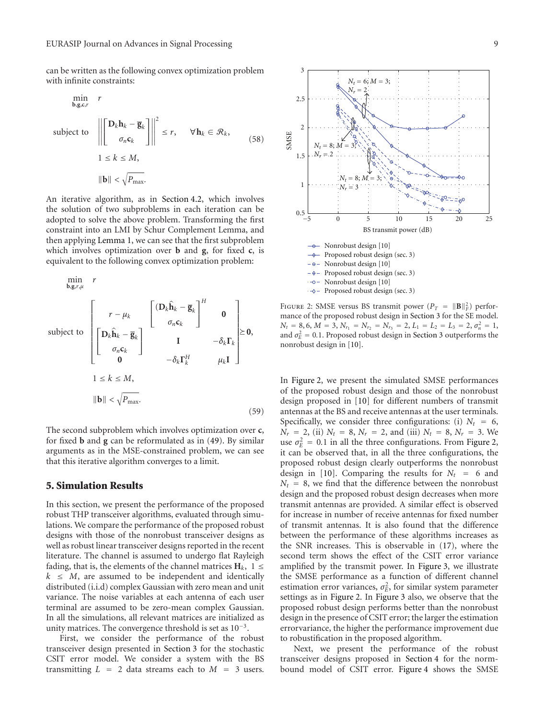can be written as the following convex optimization problem with infinite constraints:

$$
\begin{aligned}\n\min_{\mathbf{b},\mathbf{g},\mathbf{c},r} & r \\
\text{subject to} & \left\| \begin{bmatrix} \mathbf{D}_k \mathbf{h}_k - \overline{\mathbf{g}}_k \\ \sigma_n \mathbf{c}_k \end{bmatrix} \right\|^2 \le r, \quad \forall \mathbf{h}_k \in \mathcal{R}_k, \\
1 \le k \le M, \\
\|\mathbf{b}\| < \sqrt{P_{\text{max}}}.\n\end{aligned} \tag{58}
$$

An iterative algorithm, as in Section 4.2, which involves the solution of two subproblems in each iteration can be adopted to solve the above problem. Transforming the first constraint into an LMI by Schur Complement Lemma, and then applying Lemma 1, we can see that the first subproblem which involves optimization over **b** and **g**, for fixed **c**, is equivalent to the following convex optimization problem:

$$
\begin{aligned}\n\min_{\mathbf{b},\mathbf{g},r,\mu} & r \\
\text{subject to} & \begin{bmatrix} r - \mu_k \\ \mathbf{D}_k \hat{\mathbf{h}}_k - \overline{\mathbf{g}}_k \\ \sigma_n \mathbf{c}_k \end{bmatrix}^H & \mathbf{0} \\
\begin{bmatrix} \mathbf{D}_k \hat{\mathbf{h}}_k - \overline{\mathbf{g}}_k \\ \sigma_n \mathbf{c}_k \end{bmatrix} & \mathbf{I} & -\delta_k \mathbf{\Gamma}_k \end{aligned} \ge \mathbf{0},
$$
\n
$$
1 \le k \le M,
$$
\n
$$
||\mathbf{b}|| < \sqrt{P_{\text{max}}}.\n\tag{59}
$$

The second subproblem which involves optimization over **c**, for fixed **b** and **g** can be reformulated as in (49). By similar arguments as in the MSE-constrained problem, we can see that this iterative algorithm converges to a limit.

#### **5. Simulation Results**

In this section, we present the performance of the proposed robust THP transceiver algorithms, evaluated through simulations. We compare the performance of the proposed robust designs with those of the nonrobust transceiver designs as well as robust linear transceiver designs reported in the recent literature. The channel is assumed to undergo flat Rayleigh fading, that is, the elements of the channel matrices  $H_k$ ,  $1 \leq$  $k \leq M$ , are assumed to be independent and identically distributed (i.i.d) complex Gaussian with zero mean and unit variance. The noise variables at each antenna of each user terminal are assumed to be zero-mean complex Gaussian. In all the simulations, all relevant matrices are initialized as unity matrices. The convergence threshold is set as 10<sup>−</sup>3.

First, we consider the performance of the robust transceiver design presented in Section 3 for the stochastic CSIT error model. We consider a system with the BS transmitting  $L = 2$  data streams each to  $M = 3$  users.



FIGURE 2: SMSE versus BS transmit power  $(P_T = ||\mathbf{B}||_F^2)$  performance of the proposed robust design in Section 3 for the SE model.  $N_t = 8, 6, M = 3, N_{r_1} = N_{r_2} = N_{r_3} = 2, L_1 = L_2 = L_3 = 2, \sigma_n^2 = 1,$ and  $\sigma_E^2 = 0.1$ . Proposed robust design in Section 3 outperforms the nonrobust design in [10].

In Figure 2, we present the simulated SMSE performances of the proposed robust design and those of the nonrobust design proposed in [10] for different numbers of transmit antennas at the BS and receive antennas at the user terminals. Specifically, we consider three configurations: (i)  $N_t = 6$ ,  $N_r = 2$ , (ii)  $N_t = 8$ ,  $N_r = 2$ , and (iii)  $N_t = 8$ ,  $N_r = 3$ . We use  $\sigma_E^2 = 0.1$  in all the three configurations. From Figure 2, it can be observed that, in all the three configurations, the proposed robust design clearly outperforms the nonrobust design in [10]. Comparing the results for  $N_t = 6$  and  $N_t = 8$ , we find that the difference between the nonrobust design and the proposed robust design decreases when more transmit antennas are provided. A similar effect is observed for increase in number of receive antennas for fixed number of transmit antennas. It is also found that the difference between the performance of these algorithms increases as the SNR increases. This is observable in (17), where the second term shows the effect of the CSIT error variance amplified by the transmit power. In Figure 3, we illustrate the SMSE performance as a function of different channel estimation error variances,  $\sigma_E^2$ , for similar system parameter settings as in Figure 2. In Figure 3 also, we observe that the proposed robust design performs better than the nonrobust design in the presence of CSIT error; the larger the estimation errorvariance, the higher the performance improvement due to robustification in the proposed algorithm.

Next, we present the performance of the robust transceiver designs proposed in Section 4 for the normbound model of CSIT error. Figure 4 shows the SMSE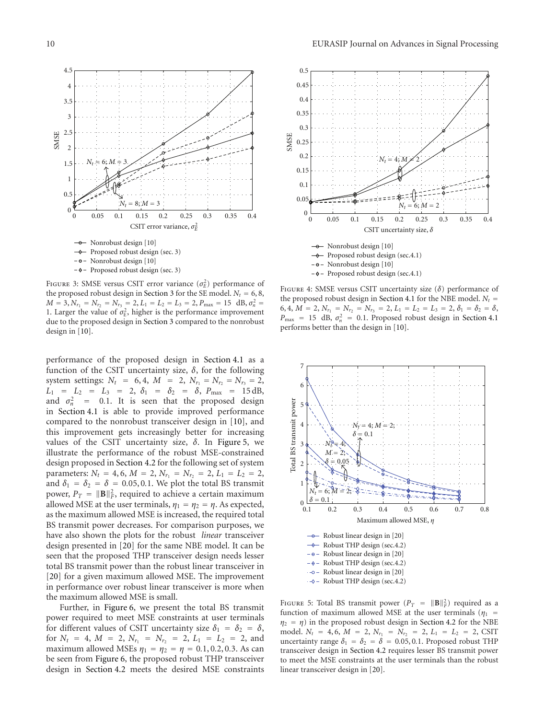

FIGURE 3: SMSE versus CSIT error variance  $(\sigma_E^2)$  performance of the proposed robust design in Section 3 for the SE model.  $N_t = 6, 8$ ,  $M = 3$ ,  $N_{r_1} = N_{r_2} = N_{r_3} = 2$ ,  $L_1 = L_2 = L_3 = 2$ ,  $P_{\text{max}} = 15$  dB,  $\sigma_n^2 =$ 1. Larger the value of  $\sigma_{\rm E}^2$ , higher is the performance improvement due to the proposed design in Section 3 compared to the nonrobust design in [10].

performance of the proposed design in Section 4.1 as a function of the CSIT uncertainty size, *δ*, for the following system settings:  $N_t = 6, 4, M = 2, N_{r_1} = N_{r_2} = N_{r_3} = 2$ ,  $L_1 = L_2 = L_3 = 2, \delta_1 = \delta_2 = \delta, P_{\text{max}} = 15 \text{ dB},$ and  $\sigma_n^2$  = 0.1. It is seen that the proposed design in Section 4.1 is able to provide improved performance compared to the nonrobust transceiver design in [10], and this improvement gets increasingly better for increasing values of the CSIT uncertainty size, *δ*. In Figure 5, we illustrate the performance of the robust MSE-constrained design proposed in Section 4.2 for the following set of system parameters:  $N_t = 4, 6, M = 2, N_{r_1} = N_{r_2} = 2, L_1 = L_2 = 2,$ and  $\delta_1 = \delta_2 = \delta = 0.05, 0.1$ . We plot the total BS transmit power,  $P_T = ||\mathbf{B}||_F^2$ , required to achieve a certain maximum allowed MSE at the user terminals,  $\eta_1 = \eta_2 = \eta$ . As expected, as the maximum allowed MSE is increased, the required total BS transmit power decreases. For comparison purposes, we have also shown the plots for the robust *linear* transceiver design presented in [20] for the same NBE model. It can be seen that the proposed THP transceiver design needs lesser total BS transmit power than the robust linear transceiver in [20] for a given maximum allowed MSE. The improvement in performance over robust linear transceiver is more when the maximum allowed MSE is small.

Further, in Figure 6, we present the total BS transmit power required to meet MSE constraints at user terminals for different values of CSIT uncertainty size  $\delta_1 = \delta_2 = \delta$ , for  $N_t = 4$ ,  $M = 2$ ,  $N_{r_1} = N_{r_2} = 2$ ,  $L_1 = L_2 = 2$ , and maximum allowed MSEs  $\eta_1 = \eta_2 = \eta = 0.1, 0.2, 0.3$ . As can be seen from Figure 6, the proposed robust THP transceiver design in Section 4.2 meets the desired MSE constraints



Figure 4: SMSE versus CSIT uncertainty size (*δ*) performance of the proposed robust design in Section 4.1 for the NBE model.  $N_t$  =  $6, 4, M = 2, N_{r_1} = N_{r_2} = N_{r_3} = 2, L_1 = L_2 = L_3 = 2, \delta_1 = \delta_2 = \delta$ ,  $P_{\text{max}}$  = 15 dB,  $\sigma_n^2$  = 0.1. Proposed robust design in Section 4.1 performs better than the design in [10].



FIGURE 5: Total BS transmit power  $(P_T = ||\mathbf{B}||_F^2)$  required as a function of maximum allowed MSE at the user terminals ( $\eta_1$  =  $\eta_2 = \eta$ ) in the proposed robust design in Section 4.2 for the NBE model.  $N_t = 4, 6, M = 2, N_{r_1} = N_{r_2} = 2, L_1 = L_2 = 2, \text{CSIT}$ uncertainty range  $\delta_1 = \delta_2 = \delta = 0.05, 0.1$ . Proposed robust THP transceiver design in Section 4.2 requires lesser BS transmit power to meet the MSE constraints at the user terminals than the robust linear transceiver design in [20].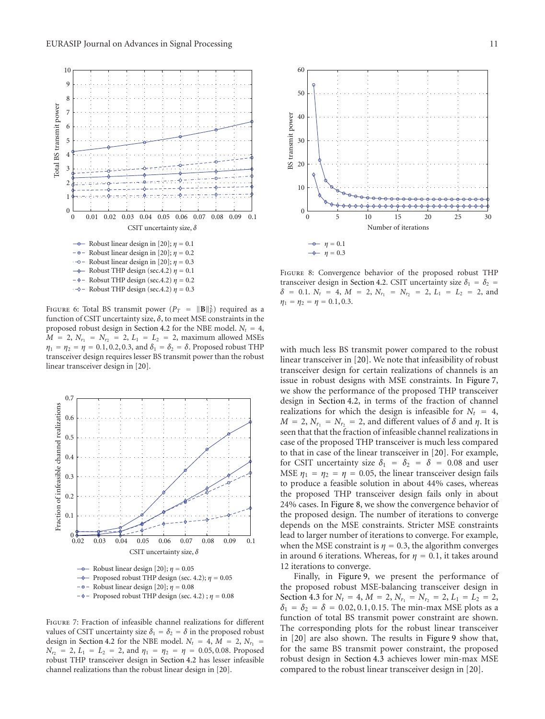

FIGURE 6: Total BS transmit power  $(P_T = ||\mathbf{B}||_F^2)$  required as a function of CSIT uncertainty size, *δ*, to meet MSE constraints in the proposed robust design in Section 4.2 for the NBE model.  $N_t = 4$ ,  $M = 2$ ,  $N_{r_1} = N_{r_2} = 2$ ,  $L_1 = L_2 = 2$ , maximum allowed MSEs *η*<sub>1</sub> = *η*<sub>2</sub> = *η* = 0*.*1*,* 0*.*2*,* 0*.*3*,* and  $δ$ <sub>1</sub> =  $δ$ <sub>2</sub> =  $δ$ *.* Proposed robust THP transceiver design requires lesser BS transmit power than the robust linear transceiver design in [20].



Proposed robust THP design (sec. 4.2) ; *<sup>η</sup> <sup>=</sup>* 0.08

Figure 7: Fraction of infeasible channel realizations for different values of CSIT uncertainty size  $\delta_1 = \delta_2 = \delta$  in the proposed robust design in Section 4.2 for the NBE model.  $N_t = 4$ ,  $M = 2$ ,  $N_{r_1} =$  $N_{r_2} = 2$ ,  $L_1 = L_2 = 2$ , and  $\eta_1 = \eta_2 = \eta = 0.05, 0.08$ . Proposed robust THP transceiver design in Section 4.2 has lesser infeasible channel realizations than the robust linear design in [20].



Figure 8: Convergence behavior of the proposed robust THP transceiver design in Section 4.2. CSIT uncertainty size  $\delta_1 = \delta_2$  $\delta$  = 0.1.  $N_t$  = 4,  $M$  = 2,  $N_{r_1}$  =  $N_{r_2}$  = 2,  $L_1$  =  $L_2$  = 2, and  $\eta_1 = \eta_2 = \eta = 0.1, 0.3.$ 

with much less BS transmit power compared to the robust linear transceiver in [20]. We note that infeasibility of robust transceiver design for certain realizations of channels is an issue in robust designs with MSE constraints. In Figure 7, we show the performance of the proposed THP transceiver design in Section 4.2, in terms of the fraction of channel realizations for which the design is infeasible for  $N_t = 4$ , *M* = 2,  $N_{r_1}$  =  $N_{r_2}$  = 2, and different values of *δ* and *η*. It is seen that that the fraction of infeasible channel realizations in case of the proposed THP transceiver is much less compared to that in case of the linear transceiver in [20]. For example, for CSIT uncertainty size  $\delta_1 = \delta_2 = \delta = 0.08$  and user MSE  $\eta_1 = \eta_2 = \eta = 0.05$ , the linear transceiver design fails to produce a feasible solution in about 44% cases, whereas the proposed THP transceiver design fails only in about 24% cases. In Figure 8, we show the convergence behavior of the proposed design. The number of iterations to converge depends on the MSE constraints. Stricter MSE constraints lead to larger number of iterations to converge. For example, when the MSE constraint is  $\eta = 0.3$ , the algorithm converges in around 6 iterations. Whereas, for  $\eta = 0.1$ , it takes around 12 iterations to converge.

Finally, in Figure 9, we present the performance of the proposed robust MSE-balancing transceiver design in Section 4.3 for  $N_t = 4$ ,  $M = 2$ ,  $N_{r_1} = N_{r_2} = 2$ ,  $L_1 = L_2 = 2$ ,  $δ<sub>1</sub> = δ<sub>2</sub> = δ = 0.02, 0.1, 0.15$ . The min-max MSE plots as a function of total BS transmit power constraint are shown. The corresponding plots for the robust linear transceiver in [20] are also shown. The results in Figure 9 show that, for the same BS transmit power constraint, the proposed robust design in Section 4.3 achieves lower min-max MSE compared to the robust linear transceiver design in [20].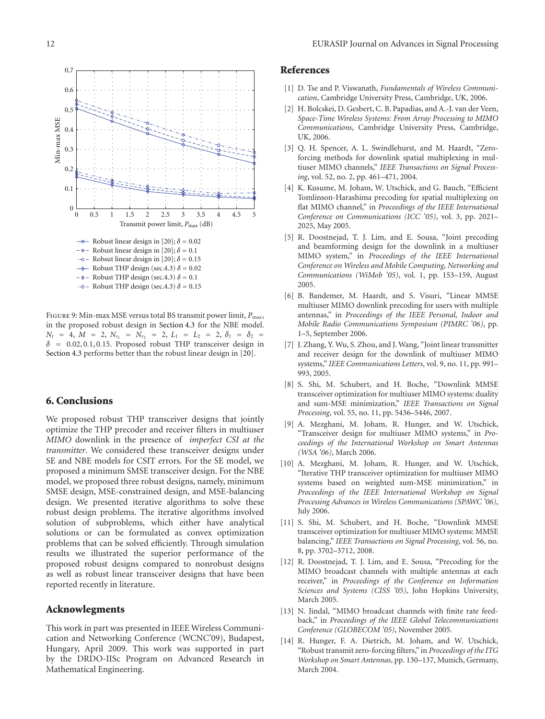

FIGURE 9: Min-max MSE versus total BS transmit power limit,  $P_{\text{max}}$ , in the proposed robust design in Section 4.3 for the NBE model.  $N_t$  = 4,  $M$  = 2,  $N_{r_1}$  =  $N_{r_2}$  = 2,  $L_1$  =  $L_2$  = 2,  $\delta_1$  =  $\delta_2$  = *δ* = 0*.*02, 0*.*1, 0*.*15. Proposed robust THP transceiver design in Section 4.3 performs better than the robust linear design in [20].

#### **6. Conclusions**

We proposed robust THP transceiver designs that jointly optimize the THP precoder and receiver filters in multiuser *MIMO* downlink in the presence of *imperfect CSI at the transmitter*. We considered these transceiver designs under SE and NBE models for CSIT errors. For the SE model, we proposed a minimum SMSE transceiver design. For the NBE model, we proposed three robust designs, namely, minimum SMSE design, MSE-constrained design, and MSE-balancing design. We presented iterative algorithms to solve these robust design problems. The iterative algorithms involved solution of subproblems, which either have analytical solutions or can be formulated as convex optimization problems that can be solved efficiently. Through simulation results we illustrated the superior performance of the proposed robust designs compared to nonrobust designs as well as robust linear transceiver designs that have been reported recently in literature.

#### **Acknowlegments**

This work in part was presented in IEEE Wireless Communication and Networking Conference (WCNC'09), Budapest, Hungary, April 2009. This work was supported in part by the DRDO-IISc Program on Advanced Research in Mathematical Engineering.

#### **References**

- [1] D. Tse and P. Viswanath, *Fundamentals of Wireless Communication*, Cambridge University Press, Cambridge, UK, 2006.
- [2] H. Bolcskei, D. Gesbert, C. B. Papadias, and A.-J. van der Veen, *Space-Time Wireless Systems: From Array Processing to MIMO Communications*, Cambridge University Press, Cambridge, UK, 2006.
- [3] Q. H. Spencer, A. L. Swindlehurst, and M. Haardt, "Zeroforcing methods for downlink spatial multiplexing in multiuser MIMO channels," *IEEE Transactions on Signal Processing*, vol. 52, no. 2, pp. 461–471, 2004.
- [4] K. Kusume, M. Joham, W. Utschick, and G. Bauch, "Efficient Tomlinson-Harashima precoding for spatial multiplexing on flat MIMO channel," in *Proceedings of the IEEE International Conference on Communications (ICC '05)*, vol. 3, pp. 2021– 2025, May 2005.
- [5] R. Doostnejad, T. J. Lim, and E. Sousa, "Joint precoding and beamforming design for the downlink in a multiuser MIMO system," in *Proceedings of the IEEE International Conference on Wireless and Mobile Computing, Networking and Communications (WiMob '05)*, vol. 1, pp. 153–159, August 2005.
- [6] B. Bandemer, M. Haardt, and S. Visuri, "Linear MMSE multiuser MIMO downlink precoding for users with multiple antennas," in *Proceedings of the IEEE Personal, Indoor and Mobile Radio Communications Symposium (PIMRC '06)*, pp. 1–5, September 2006.
- [7] J. Zhang, Y. Wu, S. Zhou, and J. Wang, "Joint linear transmitter and receiver design for the downlink of multiuser MIMO systems," *IEEE Communications Letters*, vol. 9, no. 11, pp. 991– 993, 2005.
- [8] S. Shi, M. Schubert, and H. Boche, "Downlink MMSE transceiver optimization for multiuser MIMO systems: duality and sum-MSE minimization," *IEEE Transactions on Signal Processing*, vol. 55, no. 11, pp. 5436–5446, 2007.
- [9] A. Mezghani, M. Joham, R. Hunger, and W. Utschick, "Transceiver design for multiuser MIMO systems," in *Proceedings of the International Workshop on Smart Antennas (WSA '06)*, March 2006.
- [10] A. Mezghani, M. Joham, R. Hunger, and W. Utschick, "Iterative THP transceiver optimization for multiuser MIMO systems based on weighted sum-MSE minimization," in *Proceedings of the IEEE International Workshop on Signal Processing Advances in Wireless Communications (SPAWC '06)*, July 2006.
- [11] S. Shi, M. Schubert, and H. Boche, "Downlink MMSE transceiver optimization for multiuser MIMO systems: MMSE balancing," *IEEE Transactions on Signal Processing*, vol. 56, no. 8, pp. 3702–3712, 2008.
- [12] R. Doostnejad, T. J. Lim, and E. Sousa, "Precoding for the MIMO broadcast channels with multiple antennas at each receiver," in *Proceedings of the Conference on Information Sciences and Systems (CISS '05)*, John Hopkins University, March 2005.
- [13] N. Jindal, "MIMO broadcast channels with finite rate feedback," in *Proceedings of the IEEE Global Telecommunications Conference (GLOBECOM '05)*, November 2005.
- [14] R. Hunger, F. A. Dietrich, M. Joham, and W. Utschick, "Robust transmit zero-forcing filters," in *Proceedings of the ITG Workshop on Smart Antennas*, pp. 130–137, Munich, Germany, March 2004.